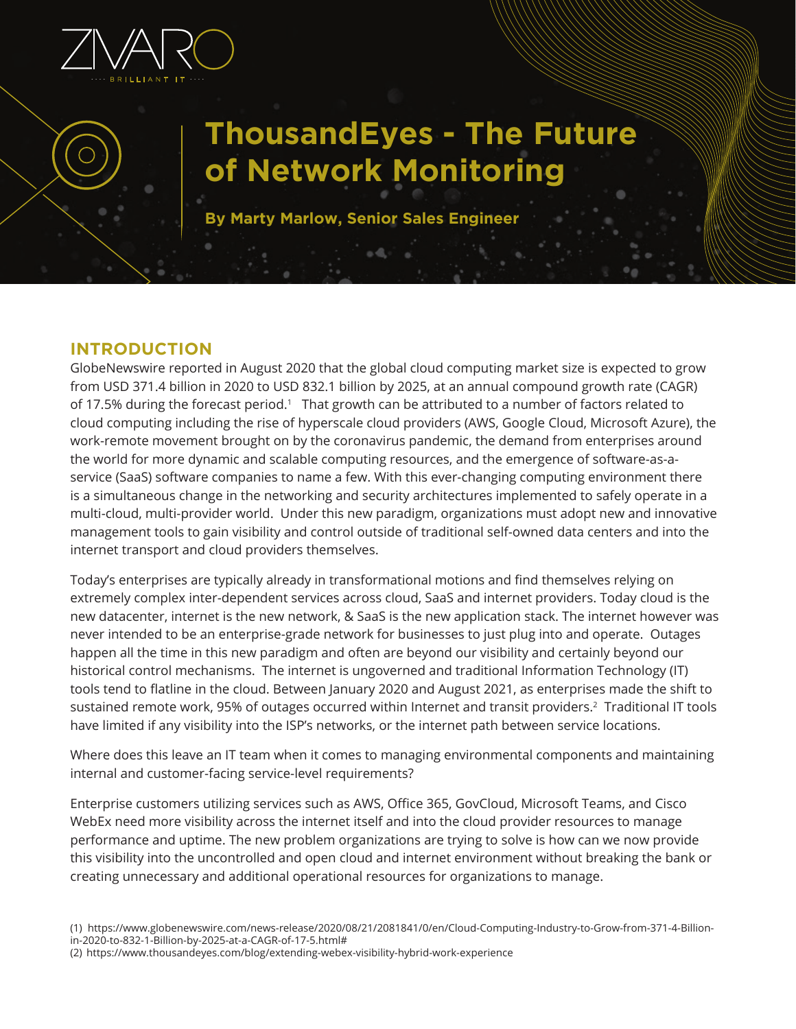

# **ThousandEyes - The Future of Network Monitoring**

**By Marty Marlow, Senior Sales Engineer**

# **INTRODUCTION**

GlobeNewswire reported in August 2020 that the global cloud computing market size is expected to grow from USD 371.4 billion in 2020 to USD 832.1 billion by 2025, at an annual compound growth rate (CAGR) of 17.5% during the forecast period.<sup>1</sup> That growth can be attributed to a number of factors related to cloud computing including the rise of hyperscale cloud providers (AWS, Google Cloud, Microsoft Azure), the work-remote movement brought on by the coronavirus pandemic, the demand from enterprises around the world for more dynamic and scalable computing resources, and the emergence of software-as-aservice (SaaS) software companies to name a few. With this ever-changing computing environment there is a simultaneous change in the networking and security architectures implemented to safely operate in a multi-cloud, multi-provider world. Under this new paradigm, organizations must adopt new and innovative management tools to gain visibility and control outside of traditional self-owned data centers and into the internet transport and cloud providers themselves.

Today's enterprises are typically already in transformational motions and find themselves relying on extremely complex inter-dependent services across cloud, SaaS and internet providers. Today cloud is the new datacenter, internet is the new network, & SaaS is the new application stack. The internet however was never intended to be an enterprise-grade network for businesses to just plug into and operate. Outages happen all the time in this new paradigm and often are beyond our visibility and certainly beyond our historical control mechanisms. The internet is ungoverned and traditional Information Technology (IT) tools tend to flatline in the cloud. Between January 2020 and August 2021, as enterprises made the shift to sustained remote work, 95% of outages occurred within Internet and transit providers.<sup>2</sup> Traditional IT tools have limited if any visibility into the ISP's networks, or the internet path between service locations.

Where does this leave an IT team when it comes to managing environmental components and maintaining internal and customer-facing service-level requirements?

Enterprise customers utilizing services such as AWS, Office 365, GovCloud, Microsoft Teams, and Cisco WebEx need more visibility across the internet itself and into the cloud provider resources to manage performance and uptime. The new problem organizations are trying to solve is how can we now provide this visibility into the uncontrolled and open cloud and internet environment without breaking the bank or creating unnecessary and additional operational resources for organizations to manage.

<sup>(1)</sup> https://www.globenewswire.com/news-release/2020/08/21/2081841/0/en/Cloud-Computing-Industry-to-Grow-from-371-4-Billionin-2020-to-832-1-Billion-by-2025-at-a-CAGR-of-17-5.html#

<sup>(2)</sup> https://www.thousandeyes.com/blog/extending-webex-visibility-hybrid-work-experience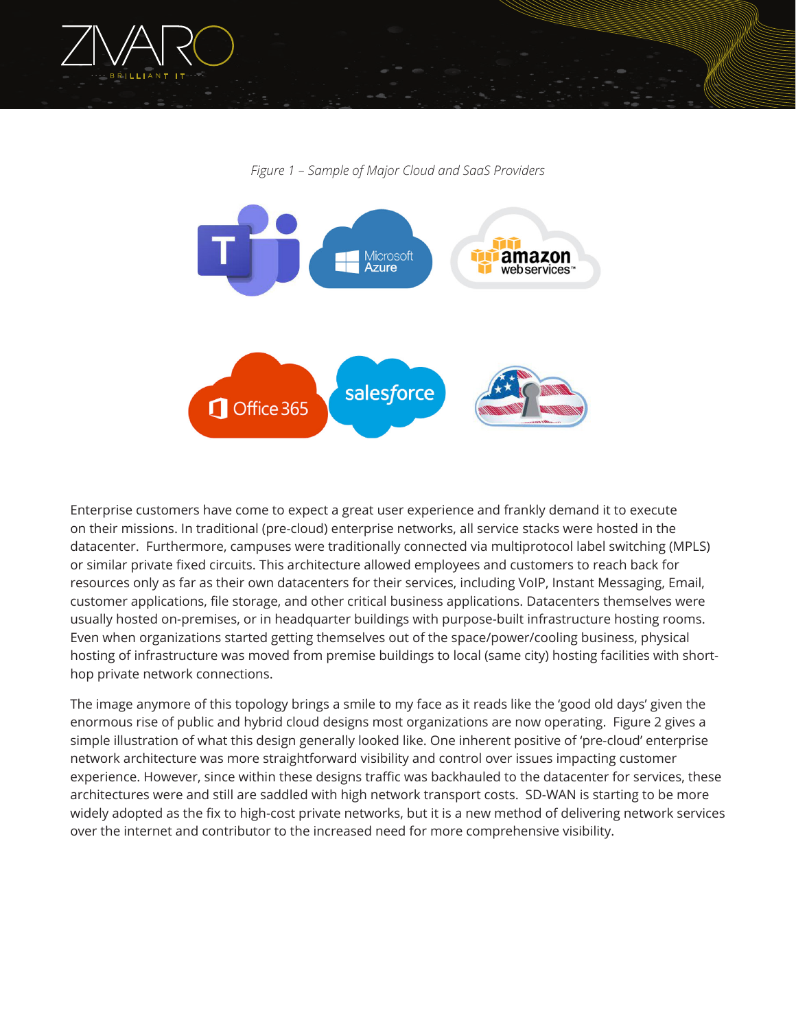

*Figure 1 – Sample of Major Cloud and SaaS Providers*



Enterprise customers have come to expect a great user experience and frankly demand it to execute on their missions. In traditional (pre-cloud) enterprise networks, all service stacks were hosted in the datacenter. Furthermore, campuses were traditionally connected via multiprotocol label switching (MPLS) or similar private fixed circuits. This architecture allowed employees and customers to reach back for resources only as far as their own datacenters for their services, including VoIP, Instant Messaging, Email, customer applications, file storage, and other critical business applications. Datacenters themselves were usually hosted on-premises, or in headquarter buildings with purpose-built infrastructure hosting rooms. Even when organizations started getting themselves out of the space/power/cooling business, physical hosting of infrastructure was moved from premise buildings to local (same city) hosting facilities with shorthop private network connections.

The image anymore of this topology brings a smile to my face as it reads like the 'good old days' given the enormous rise of public and hybrid cloud designs most organizations are now operating. Figure 2 gives a simple illustration of what this design generally looked like. One inherent positive of 'pre-cloud' enterprise network architecture was more straightforward visibility and control over issues impacting customer experience. However, since within these designs traffic was backhauled to the datacenter for services, these architectures were and still are saddled with high network transport costs. SD-WAN is starting to be more widely adopted as the fix to high-cost private networks, but it is a new method of delivering network services over the internet and contributor to the increased need for more comprehensive visibility.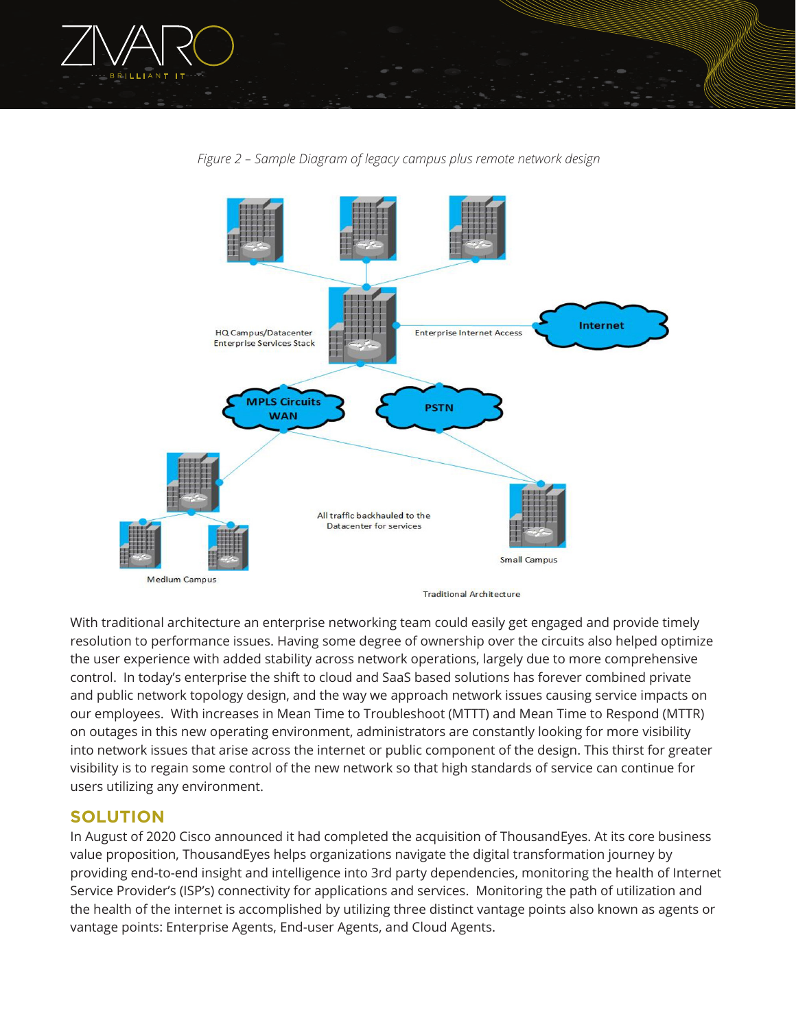



*Figure 2 – Sample Diagram of legacy campus plus remote network design*

With traditional architecture an enterprise networking team could easily get engaged and provide timely resolution to performance issues. Having some degree of ownership over the circuits also helped optimize the user experience with added stability across network operations, largely due to more comprehensive control. In today's enterprise the shift to cloud and SaaS based solutions has forever combined private and public network topology design, and the way we approach network issues causing service impacts on our employees. With increases in Mean Time to Troubleshoot (MTTT) and Mean Time to Respond (MTTR) on outages in this new operating environment, administrators are constantly looking for more visibility into network issues that arise across the internet or public component of the design. This thirst for greater visibility is to regain some control of the new network so that high standards of service can continue for users utilizing any environment.

### **SOLUTION**

In August of 2020 Cisco announced it had completed the acquisition of ThousandEyes. At its core business value proposition, ThousandEyes helps organizations navigate the digital transformation journey by providing end-to-end insight and intelligence into 3rd party dependencies, monitoring the health of Internet Service Provider's (ISP's) connectivity for applications and services. Monitoring the path of utilization and the health of the internet is accomplished by utilizing three distinct vantage points also known as agents or vantage points: Enterprise Agents, End-user Agents, and Cloud Agents.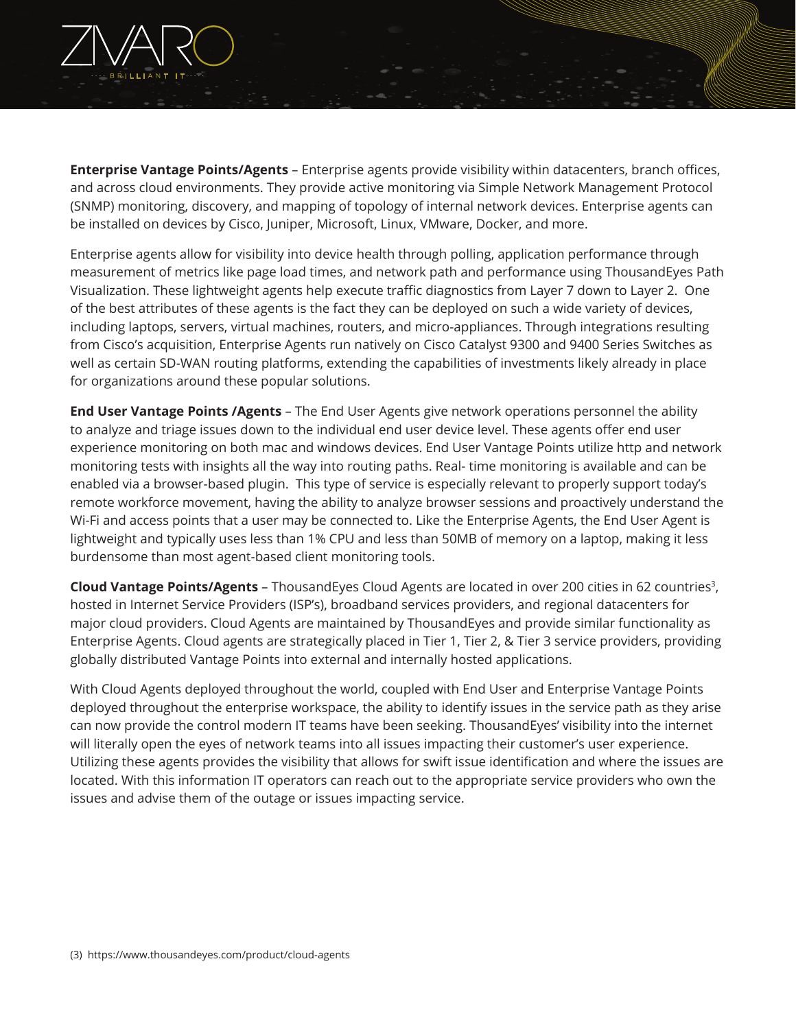

**Enterprise Vantage Points/Agents** – Enterprise agents provide visibility within datacenters, branch offices, and across cloud environments. They provide active monitoring via Simple Network Management Protocol (SNMP) monitoring, discovery, and mapping of topology of internal network devices. Enterprise agents can be installed on devices by Cisco, Juniper, Microsoft, Linux, VMware, Docker, and more.

Enterprise agents allow for visibility into device health through polling, application performance through measurement of metrics like page load times, and network path and performance using ThousandEyes Path Visualization. These lightweight agents help execute traffic diagnostics from Layer 7 down to Layer 2. One of the best attributes of these agents is the fact they can be deployed on such a wide variety of devices, including laptops, servers, virtual machines, routers, and micro-appliances. Through integrations resulting from Cisco's acquisition, Enterprise Agents run natively on Cisco Catalyst 9300 and 9400 Series Switches as well as certain SD-WAN routing platforms, extending the capabilities of investments likely already in place for organizations around these popular solutions.

**End User Vantage Points /Agents** – The End User Agents give network operations personnel the ability to analyze and triage issues down to the individual end user device level. These agents offer end user experience monitoring on both mac and windows devices. End User Vantage Points utilize http and network monitoring tests with insights all the way into routing paths. Real- time monitoring is available and can be enabled via a browser-based plugin. This type of service is especially relevant to properly support today's remote workforce movement, having the ability to analyze browser sessions and proactively understand the Wi-Fi and access points that a user may be connected to. Like the Enterprise Agents, the End User Agent is lightweight and typically uses less than 1% CPU and less than 50MB of memory on a laptop, making it less burdensome than most agent-based client monitoring tools.

**Cloud Vantage Points/Agents** – ThousandEyes Cloud Agents are located in over 200 cities in 62 countries3, hosted in Internet Service Providers (ISP's), broadband services providers, and regional datacenters for major cloud providers. Cloud Agents are maintained by ThousandEyes and provide similar functionality as Enterprise Agents. Cloud agents are strategically placed in Tier 1, Tier 2, & Tier 3 service providers, providing globally distributed Vantage Points into external and internally hosted applications.

With Cloud Agents deployed throughout the world, coupled with End User and Enterprise Vantage Points deployed throughout the enterprise workspace, the ability to identify issues in the service path as they arise can now provide the control modern IT teams have been seeking. ThousandEyes' visibility into the internet will literally open the eyes of network teams into all issues impacting their customer's user experience. Utilizing these agents provides the visibility that allows for swift issue identification and where the issues are located. With this information IT operators can reach out to the appropriate service providers who own the issues and advise them of the outage or issues impacting service.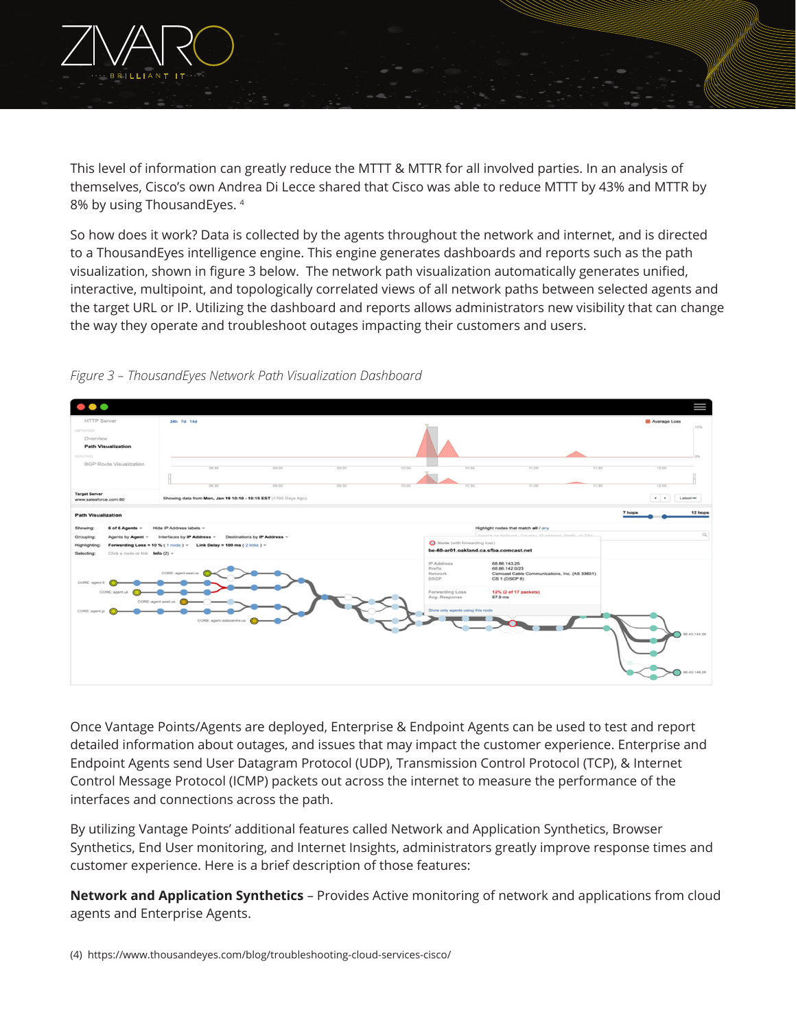

This level of information can greatly reduce the MTTT & MTTR for all involved parties. In an analysis of themselves, Cisco's own Andrea Di Lecce shared that Cisco was able to reduce MTTT by 43% and MTTR by 8% by using ThousandEyes. 4

So how does it work? Data is collected by the agents throughout the network and internet, and is directed to a ThousandEyes intelligence engine. This engine generates dashboards and reports such as the path visualization, shown in figure 3 below. The network path visualization automatically generates unified, interactive, multipoint, and topologically correlated views of all network paths between selected agents and the target URL or IP. Utilizing the dashboard and reports allows administrators new visibility that can change the way they operate and troubleshoot outages impacting their customers and users.



*Figure 3 – ThousandEyes Network Path Visualization Dashboard*

Once Vantage Points/Agents are deployed, Enterprise & Endpoint Agents can be used to test and report detailed information about outages, and issues that may impact the customer experience. Enterprise and Endpoint Agents send User Datagram Protocol (UDP), Transmission Control Protocol (TCP), & Internet Control Message Protocol (ICMP) packets out across the internet to measure the performance of the interfaces and connections across the path.

By utilizing Vantage Points' additional features called Network and Application Synthetics, Browser Synthetics, End User monitoring, and Internet Insights, administrators greatly improve response times and customer experience. Here is a brief description of those features:

**Network and Application Synthetics** – Provides Active monitoring of network and applications from cloud agents and Enterprise Agents.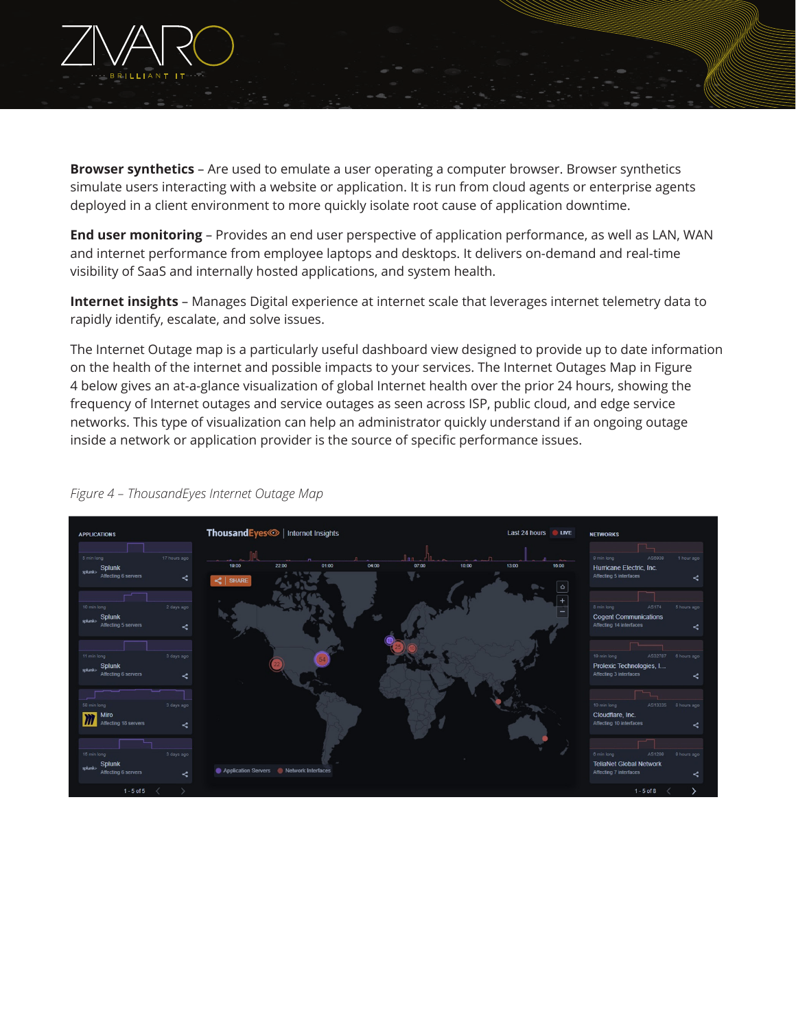

**Browser synthetics** – Are used to emulate a user operating a computer browser. Browser synthetics simulate users interacting with a website or application. It is run from cloud agents or enterprise agents deployed in a client environment to more quickly isolate root cause of application downtime.

**End user monitoring** – Provides an end user perspective of application performance, as well as LAN, WAN and internet performance from employee laptops and desktops. It delivers on-demand and real-time visibility of SaaS and internally hosted applications, and system health.

**Internet insights** – Manages Digital experience at internet scale that leverages internet telemetry data to rapidly identify, escalate, and solve issues.

The Internet Outage map is a particularly useful dashboard view designed to provide up to date information on the health of the internet and possible impacts to your services. The Internet Outages Map in Figure 4 below gives an at-a-glance visualization of global Internet health over the prior 24 hours, showing the frequency of Internet outages and service outages as seen across ISP, public cloud, and edge service networks. This type of visualization can help an administrator quickly understand if an ongoing outage inside a network or application provider is the source of specific performance issues.



#### *Figure 4 – ThousandEyes Internet Outage Map*